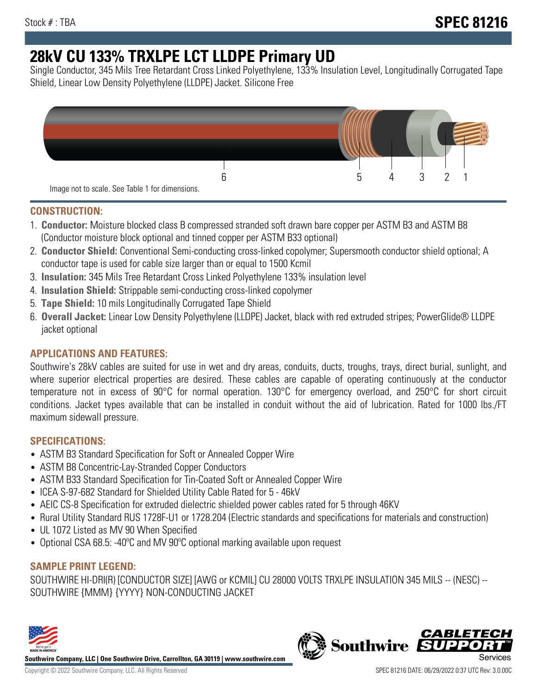# **28kV CU 133% TRXLPE LCT LLDPE Primary UD**

Single Conductor, 345 Mils Tree Retardant Cross Linked Polyethylene, 133% Insulation Level, Longitudinally Corrugated Tape Shield, Linear Low Density Polyethylene (LLDPE) Jacket. Silicone Free



## **CONSTRUCTION:**

- 1. **Conductor:** Moisture blocked class B compressed stranded soft drawn bare copper per ASTM B3 and ASTM B8 (Conductor moisture block optional and tinned copper per ASTM B33 optional)
- 2. **Conductor Shield:** Conventional Semi-conducting cross-linked copolymer; Supersmooth conductor shield optional; A conductor tape is used for cable size larger than or equal to 1500 Kcmil
- 3. **Insulation:** 345 Mils Tree Retardant Cross Linked Polyethylene 133% insulation level
- 4. **Insulation Shield:** Strippable semi-conducting cross-linked copolymer
- 5. **Tape Shield:** 10 mils Longitudinally Corrugated Tape Shield
- 6. **Overall Jacket:** Linear Low Density Polyethylene (LLDPE) Jacket, black with red extruded stripes; PowerGlide® LLDPE jacket optional

# **APPLICATIONS AND FEATURES:**

Southwire's 28kV cables are suited for use in wet and dry areas, conduits, ducts, troughs, trays, direct burial, sunlight, and where superior electrical properties are desired. These cables are capable of operating continuously at the conductor temperature not in excess of 90°C for normal operation. 130°C for emergency overload, and 250°C for short circuit conditions. Jacket types available that can be installed in conduit without the aid of lubrication. Rated for 1000 lbs./FT maximum sidewall pressure.

# **SPECIFICATIONS:**

- ASTM B3 Standard Specification for Soft or Annealed Copper Wire
- ASTM B8 Concentric-Lay-Stranded Copper Conductors
- ASTM B33 Standard Specification for Tin-Coated Soft or Annealed Copper Wire
- ICEA S-97-682 Standard for Shielded Utility Cable Rated for 5 46kV
- AEIC CS-8 Specification for extruded dielectric shielded power cables rated for 5 through 46KV
- Rural Utility Standard RUS 1728F-U1 or 1728.204 (Electric standards and specifications for materials and construction)
- UL 1072 Listed as MV 90 When Specified
- Optional CSA 68.5: -40°C and MV 90°C optional marking available upon request

## **SAMPLE PRINT LEGEND:**

SOUTHWIRE HI-DRI(R) [CONDUCTOR SIZE] [AWG or KCMIL] CU 28000 VOLTS TRXLPE INSULATION 345 MILS -- (NESC) -- SOUTHWIRE {MMM} {YYYY} NON-CONDUCTING JACKET



**Southwire Company, LLC | One Southwire Drive, Carrollton, GA 30119 | www.southwire.com**